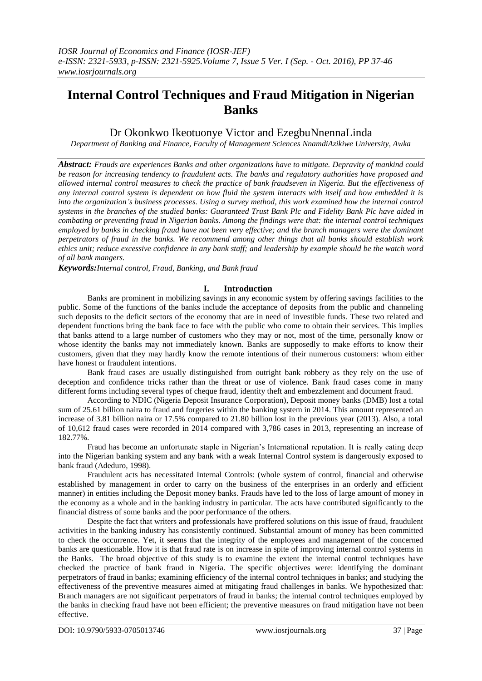# **Internal Control Techniques and Fraud Mitigation in Nigerian Banks**

Dr Okonkwo Ikeotuonye Victor and EzegbuNnennaLinda

*Department of Banking and Finance, Faculty of Management Sciences NnamdiAzikiwe University, Awka*

*Abstract: Frauds are experiences Banks and other organizations have to mitigate. Depravity of mankind could be reason for increasing tendency to fraudulent acts. The banks and regulatory authorities have proposed and allowed internal control measures to check the practice of bank fraudseven in Nigeria. But the effectiveness of any internal control system is dependent on how fluid the system interacts with itself and how embedded it is into the organization's business processes. Using a survey method, this work examined how the internal control systems in the branches of the studied banks: Guaranteed Trust Bank Plc and Fidelity Bank Plc have aided in combating or preventing fraud in Nigerian banks. Among the findings were that: the internal control techniques employed by banks in checking fraud have not been very effective; and the branch managers were the dominant perpetrators of fraud in the banks. We recommend among other things that all banks should establish work ethics unit; reduce excessive confidence in any bank staff; and leadership by example should be the watch word of all bank mangers.*

*Keywords:Internal control, Fraud, Banking, and Bank fraud*

## **I. Introduction**

Banks are prominent in mobilizing savings in any economic system by offering savings facilities to the public. Some of the functions of the banks include the acceptance of deposits from the public and channeling such deposits to the deficit sectors of the economy that are in need of investible funds. These two related and dependent functions bring the bank face to face with the public who come to obtain their services. This implies that banks attend to a large number of customers who they may or not, most of the time, personally know or whose identity the banks may not immediately known. Banks are supposedly to make efforts to know their customers, given that they may hardly know the remote intentions of their numerous customers: whom either have honest or fraudulent intentions.

Bank fraud cases are usually distinguished from outright bank robbery as they rely on the use of deception and confidence tricks rather than the threat or use of violence. Bank fraud cases come in many different forms including several types of cheque fraud, identity theft and embezzlement and document fraud.

According to NDIC (Nigeria Deposit Insurance Corporation), Deposit money banks (DMB) lost a total sum of 25.61 billion naira to fraud and forgeries within the banking system in 2014. This amount represented an increase of 3.81 billion naira or 17.5% compared to 21.80 billion lost in the previous year (2013). Also, a total of 10,612 fraud cases were recorded in 2014 compared with 3,786 cases in 2013, representing an increase of 182.77%.

Fraud has become an unfortunate staple in Nigerian"s International reputation. It is really eating deep into the Nigerian banking system and any bank with a weak Internal Control system is dangerously exposed to bank fraud (Adeduro, 1998).

Fraudulent acts has necessitated Internal Controls: (whole system of control, financial and otherwise established by management in order to carry on the business of the enterprises in an orderly and efficient manner) in entities including the Deposit money banks. Frauds have led to the loss of large amount of money in the economy as a whole and in the banking industry in particular. The acts have contributed significantly to the financial distress of some banks and the poor performance of the others.

Despite the fact that writers and professionals have proffered solutions on this issue of fraud, fraudulent activities in the banking industry has consistently continued. Substantial amount of money has been committed to check the occurrence. Yet, it seems that the integrity of the employees and management of the concerned banks are questionable. How it is that fraud rate is on increase in spite of improving internal control systems in the Banks. The broad objective of this study is to examine the extent the internal control techniques have checked the practice of bank fraud in Nigeria. The specific objectives were: identifying the dominant perpetrators of fraud in banks; examining efficiency of the internal control techniques in banks; and studying the effectiveness of the preventive measures aimed at mitigating fraud challenges in banks. We hypothesized that: Branch managers are not significant perpetrators of fraud in banks; the internal control techniques employed by the banks in checking fraud have not been efficient; the preventive measures on fraud mitigation have not been effective.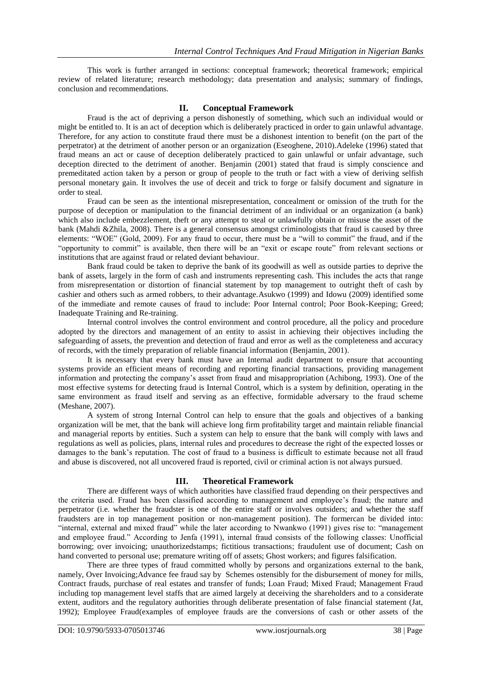This work is further arranged in sections: conceptual framework; theoretical framework; empirical review of related literature; research methodology; data presentation and analysis; summary of findings, conclusion and recommendations.

## **II. Conceptual Framework**

Fraud is the act of depriving a person dishonestly of something, which such an individual would or might be entitled to. It is an act of deception which is deliberately practiced in order to gain unlawful advantage. Therefore, for any action to constitute fraud there must be a dishonest intention to benefit (on the part of the perpetrator) at the detriment of another person or an organization (Eseoghene, 2010).Adeleke (1996) stated that fraud means an act or cause of deception deliberately practiced to gain unlawful or unfair advantage, such deception directed to the detriment of another. Benjamin (2001) stated that fraud is simply conscience and premeditated action taken by a person or group of people to the truth or fact with a view of deriving selfish personal monetary gain. It involves the use of deceit and trick to forge or falsify document and signature in order to steal.

Fraud can be seen as the intentional misrepresentation, concealment or omission of the truth for the purpose of deception or manipulation to the financial detriment of an individual or an organization (a bank) which also include embezzlement, theft or any attempt to steal or unlawfully obtain or misuse the asset of the bank (Mahdi &Zhila, 2008). There is a general consensus amongst criminologists that fraud is caused by three elements: "WOE" (Gold, 2009). For any fraud to occur, there must be a "will to commit" the fraud, and if the "opportunity to commit" is available, then there will be an "exit or escape route" from relevant sections or institutions that are against fraud or related deviant behaviour.

Bank fraud could be taken to deprive the bank of its goodwill as well as outside parties to deprive the bank of assets, largely in the form of cash and instruments representing cash. This includes the acts that range from misrepresentation or distortion of financial statement by top management to outright theft of cash by cashier and others such as armed robbers, to their advantage.Asukwo (1999) and Idowu (2009) identified some of the immediate and remote causes of fraud to include: Poor Internal control; Poor Book-Keeping; Greed; Inadequate Training and Re-training.

Internal control involves the control environment and control procedure, all the policy and procedure adopted by the directors and management of an entity to assist in achieving their objectives including the safeguarding of assets, the prevention and detection of fraud and error as well as the completeness and accuracy of records, with the timely preparation of reliable financial information (Benjamin, 2001).

It is necessary that every bank must have an Internal audit department to ensure that accounting systems provide an efficient means of recording and reporting financial transactions, providing management information and protecting the company"s asset from fraud and misappropriation (Achibong, 1993). One of the most effective systems for detecting fraud is Internal Control, which is a system by definition, operating in the same environment as fraud itself and serving as an effective, formidable adversary to the fraud scheme (Meshane, 2007).

A system of strong Internal Control can help to ensure that the goals and objectives of a banking organization will be met, that the bank will achieve long firm profitability target and maintain reliable financial and managerial reports by entities. Such a system can help to ensure that the bank will comply with laws and regulations as well as policies, plans, internal rules and procedures to decrease the right of the expected losses or damages to the bank's reputation. The cost of fraud to a business is difficult to estimate because not all fraud and abuse is discovered, not all uncovered fraud is reported, civil or criminal action is not always pursued.

## **III. Theoretical Framework**

There are different ways of which authorities have classified fraud depending on their perspectives and the criteria used. Fraud has been classified according to management and employee's fraud; the nature and perpetrator (i.e. whether the fraudster is one of the entire staff or involves outsiders; and whether the staff fraudsters are in top management position or non-management position). The formercan be divided into: "internal, external and mixed fraud" while the later according to Nwankwo (1991) gives rise to: "management and employee fraud." According to Jenfa (1991), internal fraud consists of the following classes: Unofficial borrowing; over invoicing; unauthorizedstamps; fictitious transactions; fraudulent use of document; Cash on hand converted to personal use; premature writing off of assets; Ghost workers; and figures falsification.

There are three types of fraud committed wholly by persons and organizations external to the bank, namely, Over Invoicing;Advance fee fraud say by Schemes ostensibly for the disbursement of money for mills, Contract frauds, purchase of real estates and transfer of funds; Loan Fraud; Mixed Fraud; Management Fraud including top management level staffs that are aimed largely at deceiving the shareholders and to a considerate extent, auditors and the regulatory authorities through deliberate presentation of false financial statement (Jat, 1992); Employee Fraud(examples of employee frauds are the conversions of cash or other assets of the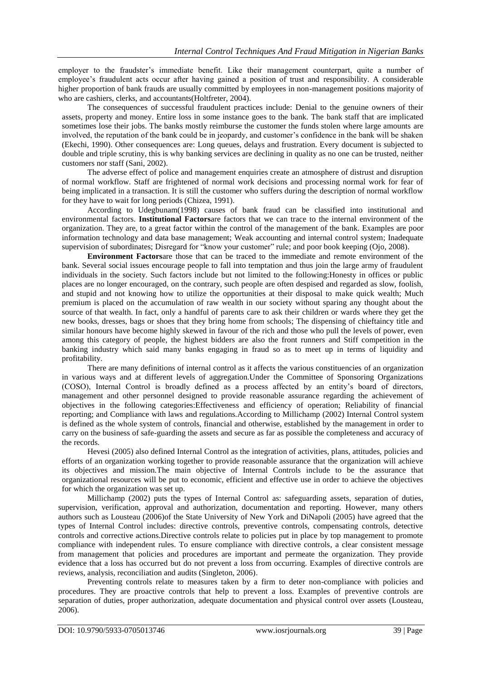employer to the fraudster"s immediate benefit. Like their management counterpart, quite a number of employee"s fraudulent acts occur after having gained a position of trust and responsibility. A considerable higher proportion of bank frauds are usually committed by employees in non-management positions majority of who are cashiers, clerks, and accountants(Holtfreter, 2004).

The consequences of successful fraudulent practices include: Denial to the genuine owners of their assets, property and money. Entire loss in some instance goes to the bank. The bank staff that are implicated sometimes lose their jobs. The banks mostly reimburse the customer the funds stolen where large amounts are involved, the reputation of the bank could be in jeopardy, and customer"s confidence in the bank will be shaken (Ekechi, 1990). Other consequences are: Long queues, delays and frustration. Every document is subjected to double and triple scrutiny, this is why banking services are declining in quality as no one can be trusted, neither customers nor staff (Sani, 2002).

The adverse effect of police and management enquiries create an atmosphere of distrust and disruption of normal workflow. Staff are frightened of normal work decisions and processing normal work for fear of being implicated in a transaction. It is still the customer who suffers during the description of normal workflow for they have to wait for long periods (Chizea, 1991).

According to Udegbunam(1998) causes of bank fraud can be classified into institutional and environmental factors. **Institutional Factors**are factors that we can trace to the internal environment of the organization. They are, to a great factor within the control of the management of the bank. Examples are poor information technology and data base management; Weak accounting and internal control system; Inadequate supervision of subordinates; Disregard for "know your customer" rule; and poor book keeping (Ojo, 2008).

**Environment Factors**are those that can be traced to the immediate and remote environment of the bank. Several social issues encourage people to fall into temptation and thus join the large army of fraudulent individuals in the society. Such factors include but not limited to the following:Honesty in offices or public places are no longer encouraged, on the contrary, such people are often despised and regarded as slow, foolish, and stupid and not knowing how to utilize the opportunities at their disposal to make quick wealth; Much premium is placed on the accumulation of raw wealth in our society without sparing any thought about the source of that wealth. In fact, only a handful of parents care to ask their children or wards where they get the new books, dresses, bags or shoes that they bring home from schools; The dispensing of chieftaincy title and similar honours have become highly skewed in favour of the rich and those who pull the levels of power, even among this category of people, the highest bidders are also the front runners and Stiff competition in the banking industry which said many banks engaging in fraud so as to meet up in terms of liquidity and profitability.

There are many definitions of internal control as it affects the various constituencies of an organization in various ways and at different levels of aggregation.Under the Committee of Sponsoring Organizations (COSO), Internal Control is broadly defined as a process affected by an entity"s board of directors, management and other personnel designed to provide reasonable assurance regarding the achievement of objectives in the following categories:Effectiveness and efficiency of operation; Reliability of financial reporting; and Compliance with laws and regulations.According to Millichamp (2002) Internal Control system is defined as the whole system of controls, financial and otherwise, established by the management in order to carry on the business of safe-guarding the assets and secure as far as possible the completeness and accuracy of the records.

Hevesi (2005) also defined Internal Control as the integration of activities, plans, attitudes, policies and efforts of an organization working together to provide reasonable assurance that the organization will achieve its objectives and mission.The main objective of Internal Controls include to be the assurance that organizational resources will be put to economic, efficient and effective use in order to achieve the objectives for which the organization was set up.

Millichamp (2002) puts the types of Internal Control as: safeguarding assets, separation of duties, supervision, verification, approval and authorization, documentation and reporting. However, many others authors such as Lousteau (2006)of the State University of New York and DiNapoli (2005) have agreed that the types of Internal Control includes: directive controls, preventive controls, compensating controls, detective controls and corrective actions.Directive controls relate to policies put in place by top management to promote compliance with independent rules. To ensure compliance with directive controls, a clear consistent message from management that policies and procedures are important and permeate the organization. They provide evidence that a loss has occurred but do not prevent a loss from occurring. Examples of directive controls are reviews, analysis, reconciliation and audits (Singleton, 2006).

Preventing controls relate to measures taken by a firm to deter non-compliance with policies and procedures. They are proactive controls that help to prevent a loss. Examples of preventive controls are separation of duties, proper authorization, adequate documentation and physical control over assets (Lousteau, 2006).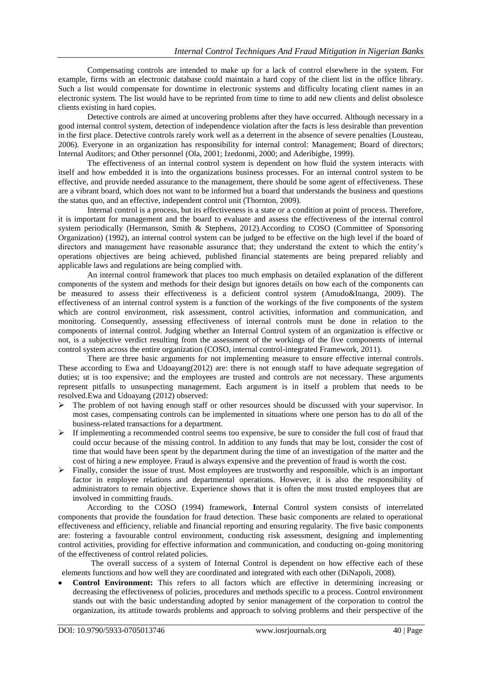Compensating controls are intended to make up for a lack of control elsewhere in the system. For example, firms with an electronic database could maintain a hard copy of the client list in the office library. Such a list would compensate for downtime in electronic systems and difficulty locating client names in an electronic system. The list would have to be reprinted from time to time to add new clients and delist obsolesce clients existing in hard copies.

Detective controls are aimed at uncovering problems after they have occurred. Although necessary in a good internal control system, detection of independence violation after the facts is less desirable than prevention in the first place. Detective controls rarely work well as a deterrent in the absence of severe penalties (Lousteau, 2006). Everyone in an organization has responsibility for internal control: Management; Board of directors; Internal Auditors; and Other personnel (Ola, 2001; Izedonmi, 2000; and Aderibigbe, 1999).

The effectiveness of an internal control system is dependent on how fluid the system interacts with itself and how embedded it is into the organizations business processes. For an internal control system to be effective, and provide needed assurance to the management, there should be some agent of effectiveness. These are a vibrant board, which does not want to be informed but a board that understands the business and questions the status quo, and an effective, independent control unit (Thornton, 2009).

Internal control is a process, but its effectiveness is a state or a condition at point of process. Therefore, it is important for management and the board to evaluate and assess the effectiveness of the internal control system periodically (Hermanson, Smith & Stephens, 2012).According to COSO (Committee of Sponsoring Organization) (1992), an internal control system can be judged to be effective on the high level if the board of directors and management have reasonable assurance that; they understand the extent to which the entity's operations objectives are being achieved, published financial statements are being prepared reliably and applicable laws and regulations are being complied with.

An internal control framework that places too much emphasis on detailed explanation of the different components of the system and methods for their design but ignores details on how each of the components can be measured to assess their effectiveness is a deficient control system (Amudo&Inanga, 2009). The effectiveness of an internal control system is a function of the workings of the five components of the system which are control environment, risk assessment, control activities, information and communication, and monitoring. Consequently, assessing effectiveness of internal controls must be done in relation to the components of internal control. Judging whether an Internal Control system of an organization is effective or not, is a subjective verdict resulting from the assessment of the workings of the five components of internal control system across the entire organization (COSO, internal control-integrated Framework, 2011).

There are three basic arguments for not implementing measure to ensure effective internal controls. These according to Ewa and Udoayang(2012) are: there is not enough staff to have adequate segregation of duties; ut is too expensive; and the employees are trusted and controls are not necessary. These arguments represent pitfalls to unsuspecting management. Each argument is in itself a problem that needs to be resolved.Ewa and Udoayang (2012) observed:

- $\triangleright$  The problem of not having enough staff or other resources should be discussed with your supervisor. In most cases, compensating controls can be implemented in situations where one person has to do all of the business-related transactions for a department.
- $\triangleright$  If implementing a recommended control seems too expensive, be sure to consider the full cost of fraud that could occur because of the missing control. In addition to any funds that may be lost, consider the cost of time that would have been spent by the department during the time of an investigation of the matter and the cost of hiring a new employee. Fraud is always expensive and the prevention of fraud is worth the cost.
- $\triangleright$  Finally, consider the issue of trust. Most employees are trustworthy and responsible, which is an important factor in employee relations and departmental operations. However, it is also the responsibility of administrators to remain objective. Experience shows that it is often the most trusted employees that are involved in committing frauds.

According to the COSO (1994) framework, **I**nternal Control system consists of interrelated components that provide the foundation for fraud detection. These basic components are related to operational effectiveness and efficiency, reliable and financial reporting and ensuring regularity. The five basic components are: fostering a favourable control environment, conducting risk assessment, designing and implementing control activities, providing for effective information and communication, and conducting on-going monitoring of the effectiveness of control related policies.

The overall success of a system of Internal Control is dependent on how effective each of these elements functions and how well they are coordinated and integrated with each other (DiNapoli, 2008).

 **Control Environment:** This refers to all factors which are effective in determining increasing or decreasing the effectiveness of policies, procedures and methods specific to a process. Control environment stands out with the basic understanding adopted by senior management of the corporation to control the organization, its attitude towards problems and approach to solving problems and their perspective of the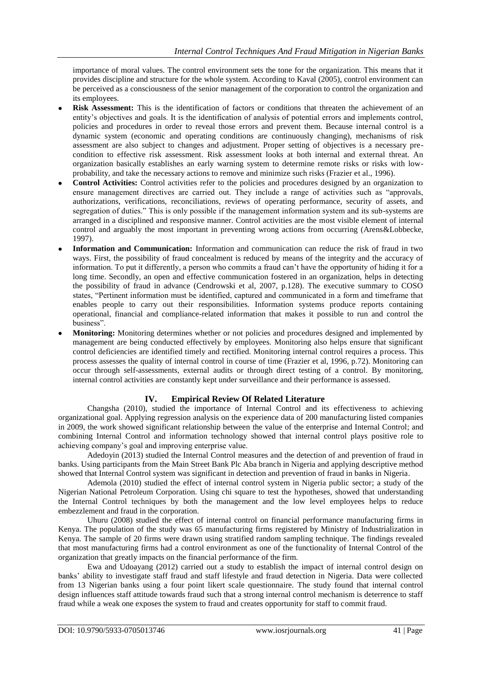importance of moral values. The control environment sets the tone for the organization. This means that it provides discipline and structure for the whole system. According to Kaval (2005), control environment can be perceived as a consciousness of the senior management of the corporation to control the organization and its employees.

- **Risk Assessment:** This is the identification of factors or conditions that threaten the achievement of an entity"s objectives and goals. It is the identification of analysis of potential errors and implements control, policies and procedures in order to reveal those errors and prevent them. Because internal control is a dynamic system (economic and operating conditions are continuously changing), mechanisms of risk assessment are also subject to changes and adjustment. Proper setting of objectives is a necessary precondition to effective risk assessment. Risk assessment looks at both internal and external threat. An organization basically establishes an early warning system to determine remote risks or risks with lowprobability, and take the necessary actions to remove and minimize such risks (Frazier et al., 1996).
- **Control Activities:** Control activities refer to the policies and procedures designed by an organization to ensure management directives are carried out. They include a range of activities such as "approvals, authorizations, verifications, reconciliations, reviews of operating performance, security of assets, and segregation of duties." This is only possible if the management information system and its sub-systems are arranged in a disciplined and responsive manner. Control activities are the most visible element of internal control and arguably the most important in preventing wrong actions from occurring (Arens&Lobbecke, 1997).
- **Information and Communication:** Information and communication can reduce the risk of fraud in two ways. First, the possibility of fraud concealment is reduced by means of the integrity and the accuracy of information. To put it differently, a person who commits a fraud can"t have the opportunity of hiding it for a long time. Secondly, an open and effective communication fostered in an organization, helps in detecting the possibility of fraud in advance (Cendrowski et al, 2007, p.128). The executive summary to COSO states, "Pertinent information must be identified, captured and communicated in a form and timeframe that enables people to carry out their responsibilities. Information systems produce reports containing operational, financial and compliance-related information that makes it possible to run and control the business".
- **Monitoring:** Monitoring determines whether or not policies and procedures designed and implemented by management are being conducted effectively by employees. Monitoring also helps ensure that significant control deficiencies are identified timely and rectified. Monitoring internal control requires a process. This process assesses the quality of internal control in course of time (Frazier et al, 1996, p.72). Monitoring can occur through self-assessments, external audits or through direct testing of a control. By monitoring, internal control activities are constantly kept under surveillance and their performance is assessed.

## **IV. Empirical Review Of Related Literature**

Changsha (2010), studied the importance of Internal Control and its effectiveness to achieving organizational goal. Applying regression analysis on the experience data of 200 manufacturing listed companies in 2009, the work showed significant relationship between the value of the enterprise and Internal Control; and combining Internal Control and information technology showed that internal control plays positive role to achieving company"s goal and improving enterprise value.

Adedoyin (2013) studied the Internal Control measures and the detection of and prevention of fraud in banks. Using participants from the Main Street Bank Plc Aba branch in Nigeria and applying descriptive method showed that Internal Control system was significant in detection and prevention of fraud in banks in Nigeria.

Ademola (2010) studied the effect of internal control system in Nigeria public sector; a study of the Nigerian National Petroleum Corporation. Using chi square to test the hypotheses, showed that understanding the Internal Control techniques by both the management and the low level employees helps to reduce embezzlement and fraud in the corporation.

Uhuru (2008) studied the effect of internal control on financial performance manufacturing firms in Kenya. The population of the study was 65 manufacturing firms registered by Ministry of Industrialization in Kenya. The sample of 20 firms were drawn using stratified random sampling technique. The findings revealed that most manufacturing firms had a control environment as one of the functionality of Internal Control of the organization that greatly impacts on the financial performance of the firm.

Ewa and Udoayang (2012) carried out a study to establish the impact of internal control design on banks" ability to investigate staff fraud and staff lifestyle and fraud detection in Nigeria. Data were collected from 13 Nigerian banks using a four point likert scale questionnaire. The study found that internal control design influences staff attitude towards fraud such that a strong internal control mechanism is deterrence to staff fraud while a weak one exposes the system to fraud and creates opportunity for staff to commit fraud.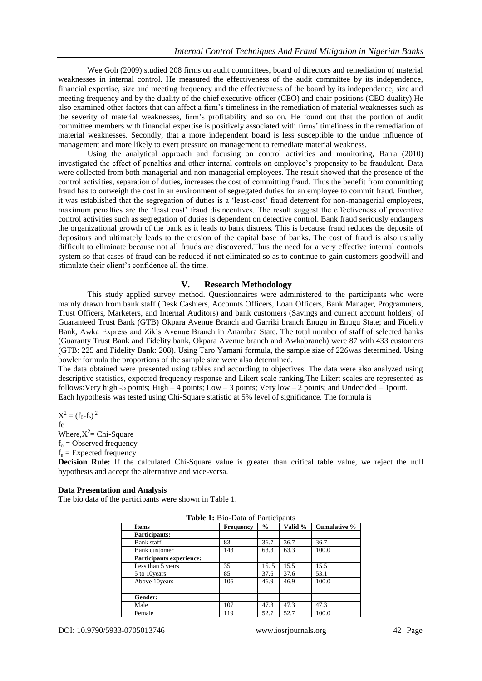Wee Goh (2009) studied 208 firms on audit committees, board of directors and remediation of material weaknesses in internal control. He measured the effectiveness of the audit committee by its independence, financial expertise, size and meeting frequency and the effectiveness of the board by its independence, size and meeting frequency and by the duality of the chief executive officer (CEO) and chair positions (CEO duality).He also examined other factors that can affect a firm"s timeliness in the remediation of material weaknesses such as the severity of material weaknesses, firm"s profitability and so on. He found out that the portion of audit committee members with financial expertise is positively associated with firms" timeliness in the remediation of material weaknesses. Secondly, that a more independent board is less susceptible to the undue influence of management and more likely to exert pressure on management to remediate material weakness.

Using the analytical approach and focusing on control activities and monitoring, Barra (2010) investigated the effect of penalties and other internal controls on employee"s propensity to be fraudulent. Data were collected from both managerial and non-managerial employees. The result showed that the presence of the control activities, separation of duties, increases the cost of committing fraud. Thus the benefit from committing fraud has to outweigh the cost in an environment of segregated duties for an employee to commit fraud. Further, it was established that the segregation of duties is a "least-cost" fraud deterrent for non-managerial employees, maximum penalties are the "least cost" fraud disincentives. The result suggest the effectiveness of preventive control activities such as segregation of duties is dependent on detective control. Bank fraud seriously endangers the organizational growth of the bank as it leads to bank distress. This is because fraud reduces the deposits of depositors and ultimately leads to the erosion of the capital base of banks. The cost of fraud is also usually difficult to eliminate because not all frauds are discovered.Thus the need for a very effective internal controls system so that cases of fraud can be reduced if not eliminated so as to continue to gain customers goodwill and stimulate their client"s confidence all the time.

## **V. Research Methodology**

This study applied survey method. Questionnaires were administered to the participants who were mainly drawn from bank staff (Desk Cashiers, Accounts Officers, Loan Officers, Bank Manager, Programmers, Trust Officers, Marketers, and Internal Auditors) and bank customers (Savings and current account holders) of Guaranteed Trust Bank (GTB) Okpara Avenue Branch and Garriki branch Enugu in Enugu State; and Fidelity Bank, Awka Express and Zik"s Avenue Branch in Anambra State. The total number of staff of selected banks (Guaranty Trust Bank and Fidelity bank, Okpara Avenue branch and Awkabranch) were 87 with 433 customers (GTB: 225 and Fidelity Bank: 208). Using Taro Yamani formula, the sample size of 226was determined. Using bowler formula the proportions of the sample size were also determined.

The data obtained were presented using tables and according to objectives. The data were also analyzed using descriptive statistics, expected frequency response and Likert scale ranking.The Likert scales are represented as follows: Very high -5 points; High  $-4$  points; Low  $-3$  points; Very low  $-2$  points; and Undecided  $-1$ point. Each hypothesis was tested using Chi-Square statistic at 5% level of significance. The formula is

$$
X^2 = \underline{(f_0 - f_e)^2}
$$
fe

Where, $X^2$  = Chi-Square  $f_0$  = Observed frequency  $f_e =$  Expected frequency

**Decision Rule:** If the calculated Chi-Square value is greater than critical table value, we reject the null hypothesis and accept the alternative and vice-versa.

### **Data Presentation and Analysis**

The bio data of the participants were shown in Table 1.

| <b>Table 1.</b> DIO-Data Of Farticipality |           |               |         |              |  |  |  |  |  |
|-------------------------------------------|-----------|---------------|---------|--------------|--|--|--|--|--|
| <b>Items</b>                              | Frequency | $\frac{0}{0}$ | Valid % | Cumulative % |  |  |  |  |  |
| Participants:                             |           |               |         |              |  |  |  |  |  |
| Bank staff                                | 83        | 36.7          | 36.7    | 36.7         |  |  |  |  |  |
| Bank customer                             | 143       | 63.3          | 63.3    | 100.0        |  |  |  |  |  |
| <b>Participants experience:</b>           |           |               |         |              |  |  |  |  |  |
| Less than 5 years                         | 35        | 15.5          | 15.5    | 15.5         |  |  |  |  |  |
| 5 to 10 years                             | 85        | 37.6          | 37.6    | 53.1         |  |  |  |  |  |
| Above 10years                             | 106       | 46.9          | 46.9    | 100.0        |  |  |  |  |  |
|                                           |           |               |         |              |  |  |  |  |  |
| Gender:                                   |           |               |         |              |  |  |  |  |  |
| Male                                      | 107       | 47.3          | 47.3    | 47.3         |  |  |  |  |  |
| Female                                    | 119       | 52.7          | 52.7    | 100.0        |  |  |  |  |  |

**Table 1:** Bio-Data of Participants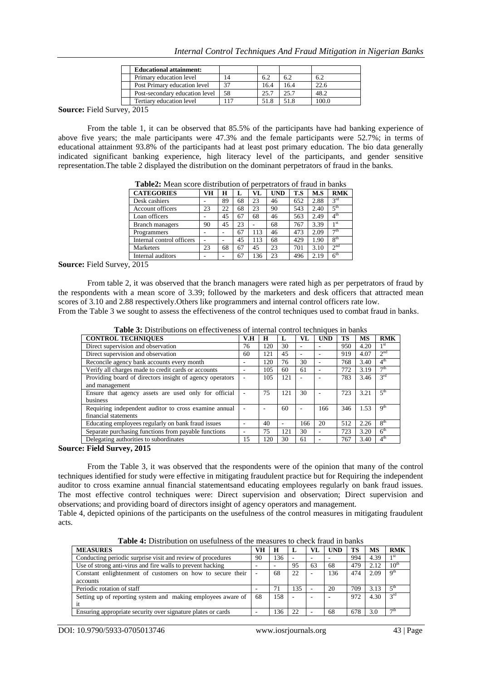| <b>Educational attainment:</b> |     |      |      |       |
|--------------------------------|-----|------|------|-------|
| Primary education level        |     | 62   |      | 6.2   |
| Post Primary education level   | 37  | 16.4 | 164  | 22.6  |
| Post-secondary education level | 58  | 25.7 | 25.7 | 48.2  |
| Tertiary education level       | .17 | 51.8 | 51.8 | 100.0 |

**Source:** Field Survey, 2015

From the table 1, it can be observed that 85.5% of the participants have had banking experience of above five years; the male participants were 47.3% and the female participants were 52.7%; in terms of educational attainment 93.8% of the participants had at least post primary education. The bio data generally indicated significant banking experience, high literacy level of the participants, and gender sensitive representation.The table 2 displayed the distribution on the dominant perpetrators of fraud in the banks.

| <b>Table.</b> Mean score distribution of perpetrators of fraud in banks |    |    |    |     |            |     |      |                 |
|-------------------------------------------------------------------------|----|----|----|-----|------------|-----|------|-----------------|
| <b>CATEGORIES</b>                                                       | VH | н  | L  | VL  | <b>UND</b> | T.S | M.S  | <b>RMK</b>      |
| Desk cashiers                                                           |    | 89 | 68 | 23  | 46         | 652 | 2.88 | 3 <sup>rd</sup> |
| Account officers                                                        | 23 | 22 | 68 | 23  | 90         | 543 | 2.40 | 5 <sup>th</sup> |
| Loan officers                                                           |    | 45 | 67 | 68  | 46         | 563 | 2.49 | 4 <sup>th</sup> |
| <b>Branch managers</b>                                                  | 90 | 45 | 23 |     | 68         | 767 | 3.39 | 1 <sup>st</sup> |
| Programmers                                                             |    |    | 67 | 113 | 46         | 473 | 2.09 | 7 <sup>th</sup> |
| Internal control officers                                               |    |    | 45 | 113 | 68         | 429 | 1.90 | 8 <sup>th</sup> |
| Marketers                                                               | 23 | 68 | 67 | 45  | 23         | 701 | 3.10 | 2 <sup>nd</sup> |
| Internal auditors                                                       | ۰  |    | 67 | 136 | 23         | 496 | 2.19 | 6 <sup>th</sup> |

**Table2:** Mean score distribution of perpetrators of fraud in banks

**Source:** Field Survey, 2015

From table 2, it was observed that the branch managers were rated high as per perpetrators of fraud by the respondents with a mean score of 3.39; followed by the marketers and desk officers that attracted mean scores of 3.10 and 2.88 respectively.Others like programmers and internal control officers rate low.

|  |  | From the Table 3 we sought to assess the effectiveness of the control techniques used to combat fraud in banks. |  |  |  |
|--|--|-----------------------------------------------------------------------------------------------------------------|--|--|--|
|  |  |                                                                                                                 |  |  |  |

| <b>CONTROL TECHNIQUES</b>                                | V.H | Н   | L   | VL  | <b>UND</b> | TS  | <b>MS</b> | <b>RMK</b>                 |
|----------------------------------------------------------|-----|-----|-----|-----|------------|-----|-----------|----------------------------|
| Direct supervision and observation                       | 76  | 120 | 30  |     |            | 950 | 4.20      | 1 <sup>st</sup>            |
| Direct supervision and observation                       | 60  | 121 | 45  | ۰   |            | 919 | 4.07      | 2 <sub>nd</sub>            |
| Reconcile agency bank accounts every month               |     | 120 | 76  | 30  |            | 768 | 3.40      | $4^{\text{th}}$            |
| Verify all charges made to credit cards or accounts      |     | 105 | 60  | 61  |            | 772 | 3.19      | $\tau$ th                  |
| Providing board of directors insight of agency operators |     | 105 | 121 |     |            | 783 | 3.46      | $3^{\text{rd}}$            |
| and management                                           |     |     |     |     |            |     |           |                            |
| Ensure that agency assets are used only for official     |     | 75  | 121 | 30  |            | 723 | 3.21      | 5 <sup>th</sup>            |
| business                                                 |     |     |     |     |            |     |           |                            |
| Requiring independent auditor to cross examine annual    |     |     | 60  | ۰   | 166        | 346 | 1.53      | q <sup>th</sup>            |
| financial statements                                     |     |     |     |     |            |     |           |                            |
| Educating employees regularly on bank fraud issues       |     | 40  |     | 166 | 20         | 512 | 2.26      | 8 <sup>th</sup>            |
| Separate purchasing functions from payable functions     |     | 75  | 121 | 30  |            | 723 | 3.20      | $\overline{6}^{\text{th}}$ |
| Delegating authorities to subordinates                   | 15  | 120 | 30  | 61  |            | 767 | 3.40      | 4 <sup>th</sup>            |
| <b>TILIT</b><br>$AA =$                                   |     |     |     |     |            |     |           |                            |

**Table 3:** Distributions on effectiveness of internal control techniques in banks

#### **Source: Field Survey, 2015**

From the Table 3, it was observed that the respondents were of the opinion that many of the control techniques identified for study were effective in mitigating fraudulent practice but for Requiring the independent auditor to cross examine annual financial statementsand educating employees regularly on bank fraud issues. The most effective control techniques were: Direct supervision and observation; Direct supervision and observations; and providing board of directors insight of agency operators and management.

Table 4, depicted opinions of the participants on the usefulness of the control measures in mitigating fraudulent acts.

| <b>MEASURES</b>                                              | VН | Н   | ы   | VL | <b>UND</b> | TS  | MS   | <b>RMK</b>             |
|--------------------------------------------------------------|----|-----|-----|----|------------|-----|------|------------------------|
| Conducting periodic surprise visit and review of procedures  | 90 | 136 |     |    |            | 994 | 4.39 | 1 <sup>st</sup>        |
| Use of strong anti-virus and fire walls to prevent hacking   |    |     | 95  | 63 | 68         | 479 | 2.12 | $10^{th}$              |
| Constant enlightenment of customers on how to secure their   |    | 68  | 22  |    | 136        | 474 | 2.09 | $\alpha$ <sup>th</sup> |
| accounts                                                     |    |     |     |    |            |     |      |                        |
| Periodic rotation of staff                                   |    | 71  | 135 |    | 20         | 709 | 3.13 | ςth                    |
| Setting up of reporting system and making employees aware of | 68 | 158 |     |    |            | 972 | 4.30 | $2^{\text{rd}}$        |
|                                                              |    |     |     |    |            |     |      |                        |
| Ensuring appropriate security over signature plates or cards |    | 136 | 22  |    | 68         | 678 | 3.0  | $\neg$ th              |

**Table 4:** Distribution on usefulness of the measures to check fraud in banks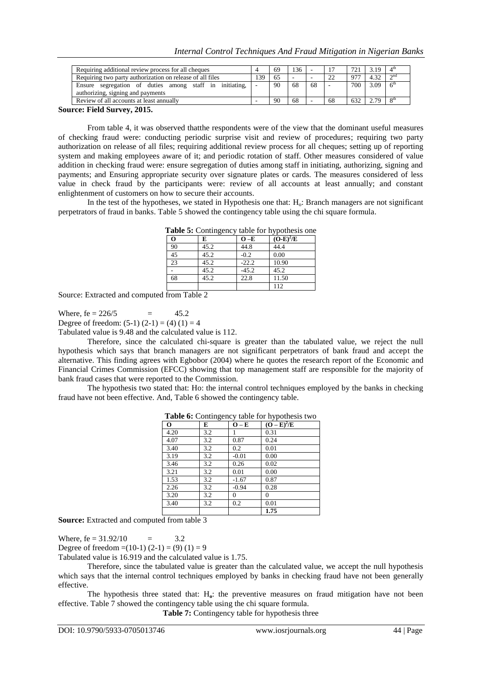|      | 69 | 36 | ۰  |    |     | 19     | $\Lambda$ th |
|------|----|----|----|----|-----|--------|--------------|
| . 39 | 65 |    |    | 22 | 07' | . $22$ | $\sim$ nd    |
|      | 90 | 68 | 68 | -  | 700 | 3.09   |              |
|      | 90 | 68 |    | 68 | 632 | 70     | oth          |
|      |    |    |    |    |     |        |              |

#### **Source: Field Survey, 2015.**

From table 4, it was observed thatthe respondents were of the view that the dominant useful measures of checking fraud were: conducting periodic surprise visit and review of procedures; requiring two party authorization on release of all files; requiring additional review process for all cheques; setting up of reporting system and making employees aware of it; and periodic rotation of staff. Other measures considered of value addition in checking fraud were: ensure segregation of duties among staff in initiating, authorizing, signing and payments; and Ensuring appropriate security over signature plates or cards. The measures considered of less value in check fraud by the participants were: review of all accounts at least annually; and constant enlightenment of customers on how to secure their accounts.

In the test of the hypotheses, we stated in Hypothesis one that: H<sub>o</sub>: Branch managers are not significant perpetrators of fraud in banks. Table 5 showed the contingency table using the chi square formula.

| <b>Table 5:</b> Contingency table for hypothesis one |      |         |             |  |  |  |  |  |  |
|------------------------------------------------------|------|---------|-------------|--|--|--|--|--|--|
| Ō                                                    | E    | $O-E$   | $(O-E)^2/E$ |  |  |  |  |  |  |
| 90                                                   | 45.2 | 44.8    | 44.4        |  |  |  |  |  |  |
| 45                                                   | 45.2 | $-0.2$  | 0.00        |  |  |  |  |  |  |
| 23                                                   | 45.2 | $-22.2$ | 10.90       |  |  |  |  |  |  |
|                                                      | 45.2 | $-45.2$ | 45.2        |  |  |  |  |  |  |
| 68                                                   | 45.2 | 22.8    | 11.50       |  |  |  |  |  |  |
|                                                      |      |         | 112         |  |  |  |  |  |  |

Source: Extracted and computed from Table 2

Where,  $fe = 226/5 = 45.2$ 

Degree of freedom:  $(5-1)(2-1) = (4)(1) = 4$ 

Tabulated value is 9.48 and the calculated value is 112.

Therefore, since the calculated chi-square is greater than the tabulated value, we reject the null hypothesis which says that branch managers are not significant perpetrators of bank fraud and accept the alternative. This finding agrees with Egbobor (2004) where he quotes the research report of the Economic and Financial Crimes Commission (EFCC) showing that top management staff are responsible for the majority of bank fraud cases that were reported to the Commission.

The hypothesis two stated that: Ho: the internal control techniques employed by the banks in checking fraud have not been effective. And, Table 6 showed the contingency table.

| O    | E   | $O - E$  | $(O - E)^2/E$ |
|------|-----|----------|---------------|
| 4.20 | 3.2 |          | 0.31          |
| 4.07 | 3.2 | 0.87     | 0.24          |
| 3.40 | 3.2 | 0.2      | 0.01          |
| 3.19 | 3.2 | $-0.01$  | 0.00          |
| 3.46 | 3.2 | 0.26     | 0.02          |
| 3.21 | 3.2 | 0.01     | 0.00          |
| 1.53 | 3.2 | $-1.67$  | 0.87          |
| 2.26 | 3.2 | $-0.94$  | 0.28          |
| 3.20 | 3.2 | $\Omega$ | $\theta$      |
| 3.40 | 3.2 | 0.2      | 0.01          |
|      |     |          | 1.75          |

**Table 6:** Contingency table for hypothesis two

**Source:** Extracted and computed from table 3

Where,  $fe = 31.92/10 = 3.2$ 

Degree of freedom =(10-1) (2-1) = (9) (1) = 9

Tabulated value is 16.919 and the calculated value is 1.75.

Therefore, since the tabulated value is greater than the calculated value, we accept the null hypothesis which says that the internal control techniques employed by banks in checking fraud have not been generally effective.

The hypothesis three stated that: H**o**: the preventive measures on fraud mitigation have not been effective. Table 7 showed the contingency table using the chi square formula.

**Table 7:** Contingency table for hypothesis three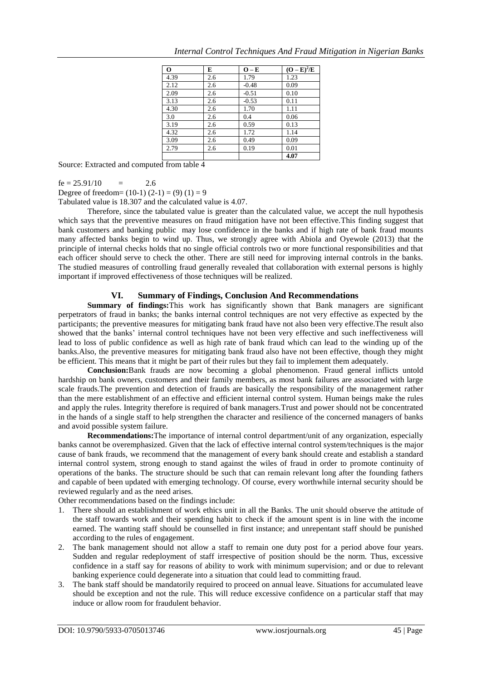| $\bf{O}$ | E   | $O-E$   | $\overline{(\mathbf{O}-\mathbf{E})^2/\mathbf{E}}$ |
|----------|-----|---------|---------------------------------------------------|
| 4.39     | 2.6 | 1.79    | 1.23                                              |
| 2.12     | 2.6 | $-0.48$ | 0.09                                              |
| 2.09     | 2.6 | $-0.51$ | 0.10                                              |
| 3.13     | 2.6 | $-0.53$ | 0.11                                              |
| 4.30     | 2.6 | 1.70    | 1.11                                              |
| 3.0      | 2.6 | 0.4     | 0.06                                              |
| 3.19     | 2.6 | 0.59    | 0.13                                              |
| 4.32     | 2.6 | 1.72    | 1.14                                              |
| 3.09     | 2.6 | 0.49    | 0.09                                              |
| 2.79     | 2.6 | 0.19    | 0.01                                              |
|          |     |         | 4.07                                              |

Source: Extracted and computed from table 4

 $fe = 25.91/10 = 2.6$ 

Degree of freedom=  $(10-1)(2-1) = (9)(1) = 9$ 

Tabulated value is 18.307 and the calculated value is 4.07.

Therefore, since the tabulated value is greater than the calculated value, we accept the null hypothesis which says that the preventive measures on fraud mitigation have not been effective.This finding suggest that bank customers and banking public may lose confidence in the banks and if high rate of bank fraud mounts many affected banks begin to wind up. Thus, we strongly agree with Abiola and Oyewole (2013) that the principle of internal checks holds that no single official controls two or more functional responsibilities and that each officer should serve to check the other. There are still need for improving internal controls in the banks. The studied measures of controlling fraud generally revealed that collaboration with external persons is highly important if improved effectiveness of those techniques will be realized.

## **VI. Summary of Findings, Conclusion And Recommendations**

**Summary of findings:**This work has significantly shown that Bank managers are significant perpetrators of fraud in banks; the banks internal control techniques are not very effective as expected by the participants; the preventive measures for mitigating bank fraud have not also been very effective.The result also showed that the banks" internal control techniques have not been very effective and such ineffectiveness will lead to loss of public confidence as well as high rate of bank fraud which can lead to the winding up of the banks.Also, the preventive measures for mitigating bank fraud also have not been effective, though they might be efficient. This means that it might be part of their rules but they fail to implement them adequately.

**Conclusion:**Bank frauds are now becoming a global phenomenon. Fraud general inflicts untold hardship on bank owners, customers and their family members, as most bank failures are associated with large scale frauds.The prevention and detection of frauds are basically the responsibility of the management rather than the mere establishment of an effective and efficient internal control system. Human beings make the rules and apply the rules. Integrity therefore is required of bank managers.Trust and power should not be concentrated in the hands of a single staff to help strengthen the character and resilience of the concerned managers of banks and avoid possible system failure.

**Recommendations:**The importance of internal control department/unit of any organization, especially banks cannot be overemphasized. Given that the lack of effective internal control system/techniques is the major cause of bank frauds, we recommend that the management of every bank should create and establish a standard internal control system, strong enough to stand against the wiles of fraud in order to promote continuity of operations of the banks. The structure should be such that can remain relevant long after the founding fathers and capable of been updated with emerging technology. Of course, every worthwhile internal security should be reviewed regularly and as the need arises.

Other recommendations based on the findings include:

- 1. There should an establishment of work ethics unit in all the Banks. The unit should observe the attitude of the staff towards work and their spending habit to check if the amount spent is in line with the income earned. The wanting staff should be counselled in first instance; and unrepentant staff should be punished according to the rules of engagement.
- 2. The bank management should not allow a staff to remain one duty post for a period above four years. Sudden and regular redeployment of staff irrespective of position should be the norm. Thus, excessive confidence in a staff say for reasons of ability to work with minimum supervision; and or due to relevant banking experience could degenerate into a situation that could lead to committing fraud.
- 3. The bank staff should be mandatorily required to proceed on annual leave. Situations for accumulated leave should be exception and not the rule. This will reduce excessive confidence on a particular staff that may induce or allow room for fraudulent behavior.